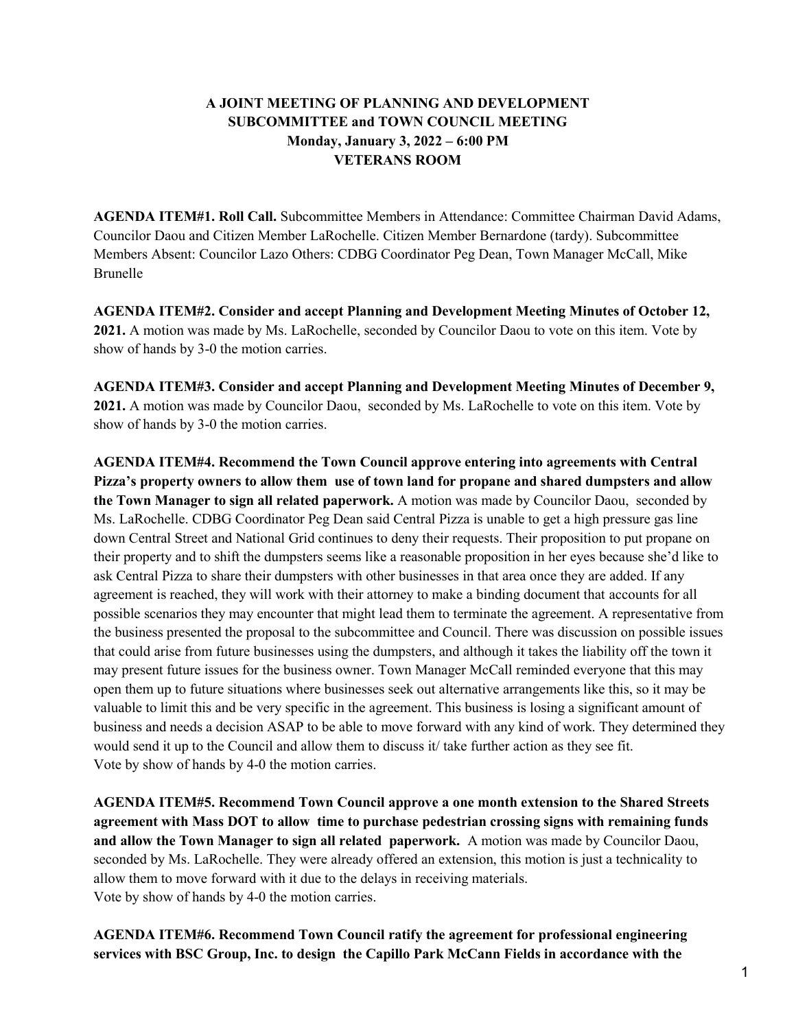## **A JOINT MEETING OF PLANNING AND DEVELOPMENT SUBCOMMITTEE and TOWN COUNCIL MEETING Monday, January 3, 2022 – 6:00 PM VETERANS ROOM**

**AGENDA ITEM#1. Roll Call.** Subcommittee Members in Attendance: Committee Chairman David Adams, Councilor Daou and Citizen Member LaRochelle. Citizen Member Bernardone (tardy). Subcommittee Members Absent: Councilor Lazo Others: CDBG Coordinator Peg Dean, Town Manager McCall, Mike Brunelle

**AGENDA ITEM#2. Consider and accept Planning and Development Meeting Minutes of October 12, 2021.** A motion was made by Ms. LaRochelle, seconded by Councilor Daou to vote on this item. Vote by show of hands by 3-0 the motion carries.

**AGENDA ITEM#3. Consider and accept Planning and Development Meeting Minutes of December 9, 2021.** A motion was made by Councilor Daou, seconded by Ms. LaRochelle to vote on this item. Vote by show of hands by 3-0 the motion carries.

**AGENDA ITEM#4. Recommend the Town Council approve entering into agreements with Central Pizza's property owners to allow them use of town land for propane and shared dumpsters and allow the Town Manager to sign all related paperwork.** A motion was made by Councilor Daou, seconded by Ms. LaRochelle. CDBG Coordinator Peg Dean said Central Pizza is unable to get a high pressure gas line down Central Street and National Grid continues to deny their requests. Their proposition to put propane on their property and to shift the dumpsters seems like a reasonable proposition in her eyes because she'd like to ask Central Pizza to share their dumpsters with other businesses in that area once they are added. If any agreement is reached, they will work with their attorney to make a binding document that accounts for all possible scenarios they may encounter that might lead them to terminate the agreement. A representative from the business presented the proposal to the subcommittee and Council. There was discussion on possible issues that could arise from future businesses using the dumpsters, and although it takes the liability off the town it may present future issues for the business owner. Town Manager McCall reminded everyone that this may open them up to future situations where businesses seek out alternative arrangements like this, so it may be valuable to limit this and be very specific in the agreement. This business is losing a significant amount of business and needs a decision ASAP to be able to move forward with any kind of work. They determined they would send it up to the Council and allow them to discuss it/ take further action as they see fit. Vote by show of hands by 4-0 the motion carries.

**AGENDA ITEM#5. Recommend Town Council approve a one month extension to the Shared Streets agreement with Mass DOT to allow time to purchase pedestrian crossing signs with remaining funds and allow the Town Manager to sign all related paperwork.** A motion was made by Councilor Daou, seconded by Ms. LaRochelle. They were already offered an extension, this motion is just a technicality to allow them to move forward with it due to the delays in receiving materials. Vote by show of hands by 4-0 the motion carries.

**AGENDA ITEM#6. Recommend Town Council ratify the agreement for professional engineering services with BSC Group, Inc. to design the Capillo Park McCann Fields in accordance with the**